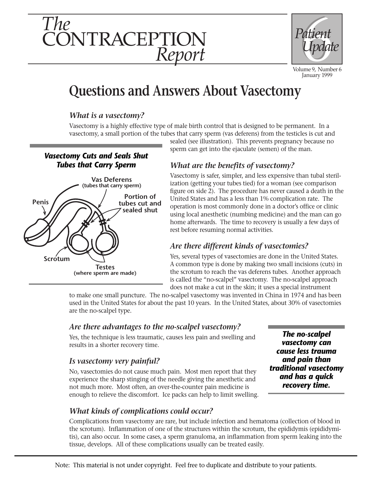## *The* ÖNTRACEPTION *Report*



Volume 9, Number 6 January 1999

# **Questions and Answers About Vasectomy**

#### *What is a vasectomy?*

Vasectomy is a highly effective type of male birth control that is designed to be permanent. In a vasectomy, a small portion of the tubes that carry sperm (vas deferens) from the testicles is cut and

#### *Vasectomy Cuts and Seals Shut Tubes that Carry Sperm*



sealed (see illustration). This prevents pregnancy because no sperm can get into the ejaculate (semen) of the man.

## *What are the benefits of vasectomy?*

Vasectomy is safer, simpler, and less expensive than tubal sterilization (getting your tubes tied) for a woman (see comparison figure on side 2). The procedure has never caused a death in the United States and has a less than 1% complication rate. The operation is most commonly done in a doctor's office or clinic using local anesthetic (numbing medicine) and the man can go home afterwards. The time to recovery is usually a few days of rest before resuming normal activities.

## *Are there different kinds of vasectomies?*

Yes, several types of vasectomies are done in the United States. A common type is done by making two small incisions (cuts) in the scrotum to reach the vas deferens tubes. Another approach is called the "no-scalpel" vasectomy. The no-scalpel approach does not make a cut in the skin; it uses a special instrument

to make one small puncture. The no-scalpel vasectomy was invented in China in 1974 and has been used in the United States for about the past 10 years. In the United States, about 30% of vasectomies are the no-scalpel type.

## *Are there advantages to the no-scalpel vasectomy?*

Yes, the technique is less traumatic, causes less pain and swelling and results in a shorter recovery time.

#### *Is vasectomy very painful?*

No, vasectomies do not cause much pain. Most men report that they experience the sharp stinging of the needle giving the anesthetic and not much more. Most often, an over-the-counter pain medicine is enough to relieve the discomfort. Ice packs can help to limit swelling.

*What kinds of complications could occur?*

Complications from vasectomy are rare, but include infection and hematoma (collection of blood in the scrotum). Inflammation of one of the structures within the scrotum, the epididymis (epididymitis), can also occur. In some cases, a sperm granuloma, an inflammation from sperm leaking into the tissue, develops. All of these complications usually can be treated easily.

*The no-scalpel vasectomy can cause less trauma and pain than traditional vasectomy and has a quick recovery time.*